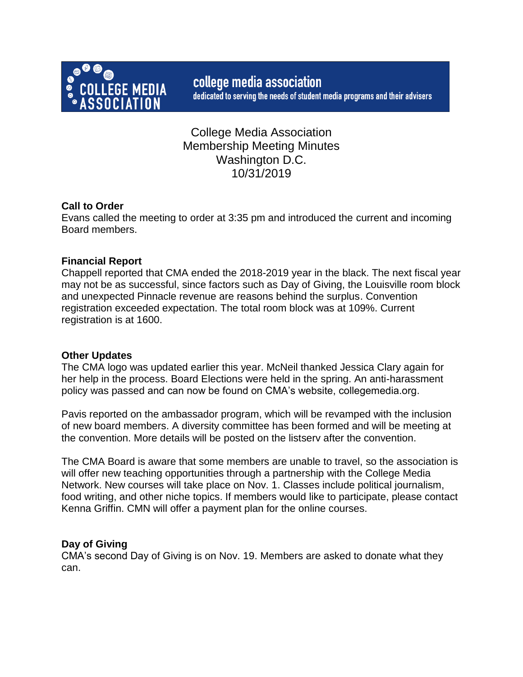

College Media Association Membership Meeting Minutes Washington D.C. 10/31/2019

# **Call to Order**

Evans called the meeting to order at 3:35 pm and introduced the current and incoming Board members.

# **Financial Report**

Chappell reported that CMA ended the 2018-2019 year in the black. The next fiscal year may not be as successful, since factors such as Day of Giving, the Louisville room block and unexpected Pinnacle revenue are reasons behind the surplus. Convention registration exceeded expectation. The total room block was at 109%. Current registration is at 1600.

## **Other Updates**

The CMA logo was updated earlier this year. McNeil thanked Jessica Clary again for her help in the process. Board Elections were held in the spring. An anti-harassment policy was passed and can now be found on CMA's website, collegemedia.org.

Pavis reported on the ambassador program, which will be revamped with the inclusion of new board members. A diversity committee has been formed and will be meeting at the convention. More details will be posted on the listserv after the convention.

The CMA Board is aware that some members are unable to travel, so the association is will offer new teaching opportunities through a partnership with the College Media Network. New courses will take place on Nov. 1. Classes include political journalism, food writing, and other niche topics. If members would like to participate, please contact Kenna Griffin. CMN will offer a payment plan for the online courses.

## **Day of Giving**

CMA's second Day of Giving is on Nov. 19. Members are asked to donate what they can.